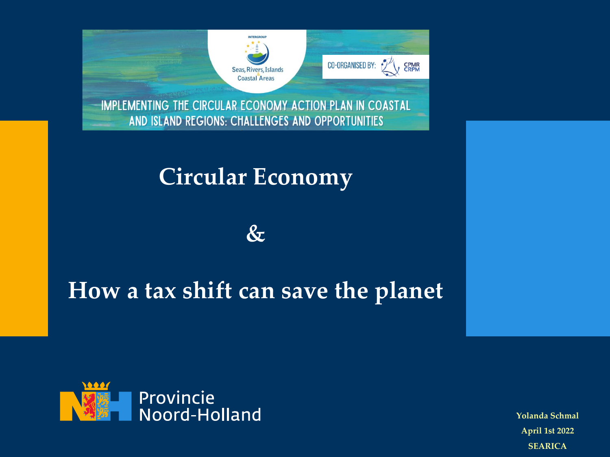

IMPLEMENTING THE CIRCULAR ECONOMY ACTION PLAN IN COASTAL AND ISLAND REGIONS: CHALLENGES AND OPPORTUNITIES

#### **Circular Economy**



#### **How a tax shift can save the planet**



**Yolanda Schmal April 1st 2022 SEARICA**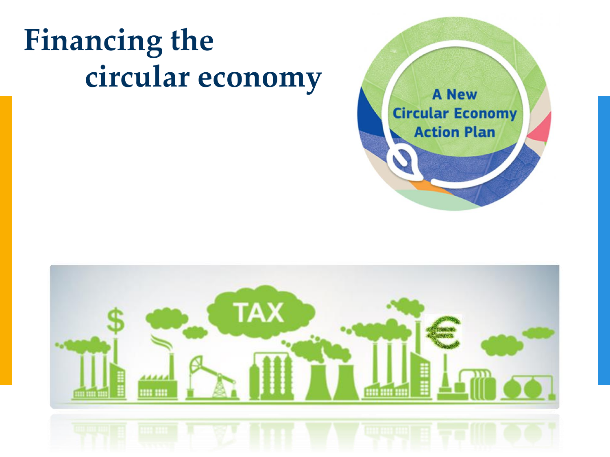## **Financing the circular economy**



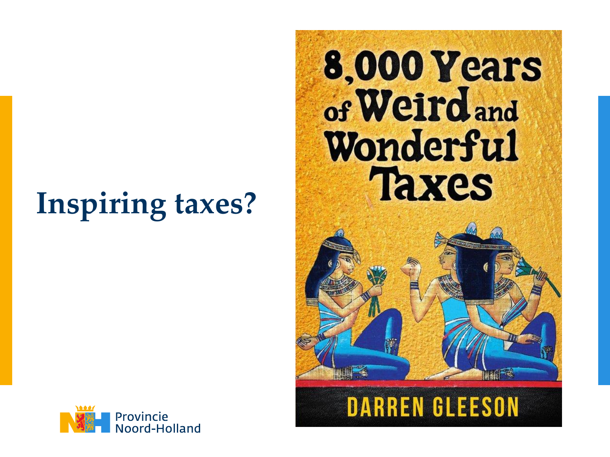## **Inspiring taxes?**

## 8,000 Years of Weird and Wonderful **Taxes**



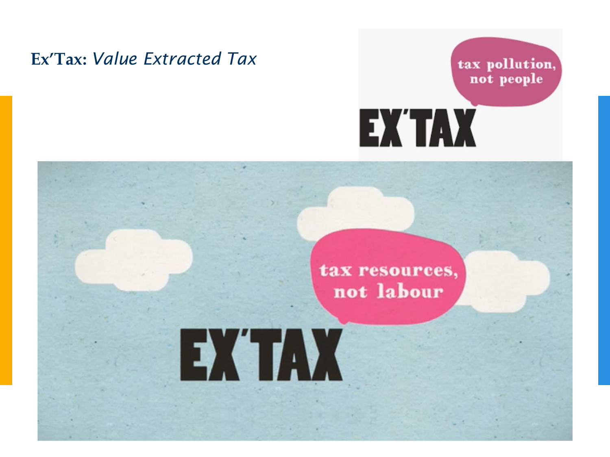#### **Ex'Tax:** *Value Extracted Tax*



# tax resources, not labour EXTAX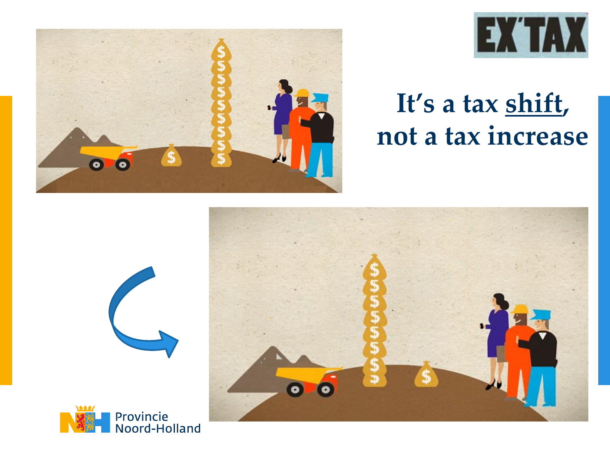



## **It's a tax shift, not a tax increase**





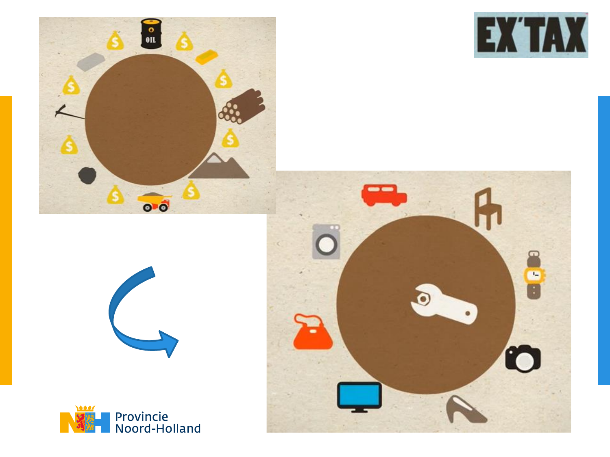





<u>as as</u>



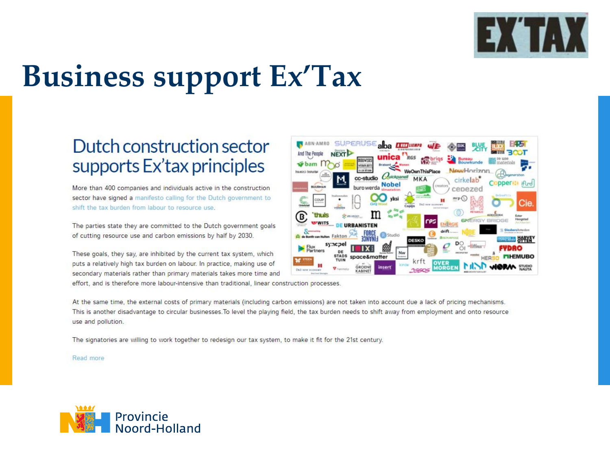

## **Business support Ex'Tax**

#### Dutch construction sector supports Ex'tax principles

More than 400 companies and individuals active in the construction sector have signed a manifesto calling for the Dutch government to shift the tax burden from labour to resource use.

The parties state they are committed to the Dutch government goals of cutting resource use and carbon emissions by half by 2030.

These goals, they say, are inhibited by the current tax system, which puts a relatively high tax burden on labour. In practice, making use of secondary materials rather than primary materials takes more time and



effort, and is therefore more labour-intensive than traditional, linear construction processes.

At the same time, the external costs of primary materials (including carbon emissions) are not taken into account due a lack of pricing mechanisms. This is another disadvantage to circular businesses. To level the playing field, the tax burden needs to shift away from employment and onto resource use and pollution.

The signatories are willing to work together to redesign our tax system, to make it fit for the 21st century.

#### Read more

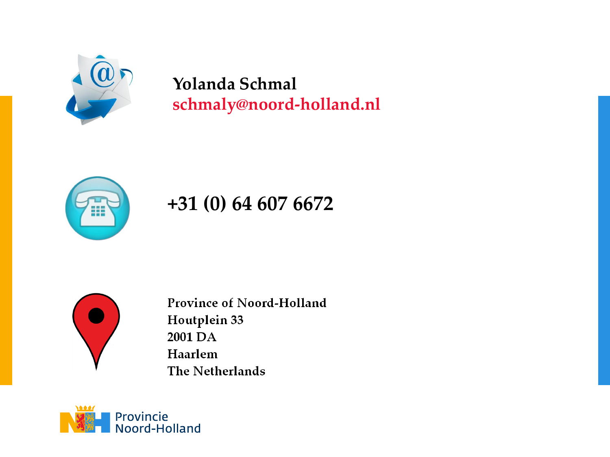

#### **Yolanda Schmal schmaly@noord-holland.nl**



#### **+31 (0) 64 607 6672**



**Province of Noord-Holland** Houtplein 33 2001 DA Haarlem The Netherlands

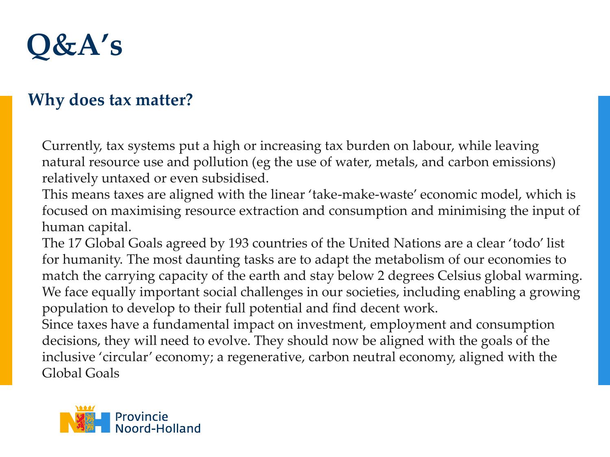

#### **Why does tax matter?**

Currently, tax systems put a high or increasing tax burden on labour, while leaving natural resource use and pollution (eg the use of water, metals, and carbon emissions) relatively untaxed or even subsidised.

This means taxes are aligned with the linear 'take-make-waste' economic model, which is focused on maximising resource extraction and consumption and minimising the input of human capital.

The 17 Global Goals agreed by 193 countries of the United Nations are a clear 'todo' list for humanity. The most daunting tasks are to adapt the metabolism of our economies to match the carrying capacity of the earth and stay below 2 degrees Celsius global warming. We face equally important social challenges in our societies, including enabling a growing population to develop to their full potential and find decent work.

Since taxes have a fundamental impact on investment, employment and consumption decisions, they will need to evolve. They should now be aligned with the goals of the inclusive 'circular' economy; a regenerative, carbon neutral economy, aligned with the Global Goals

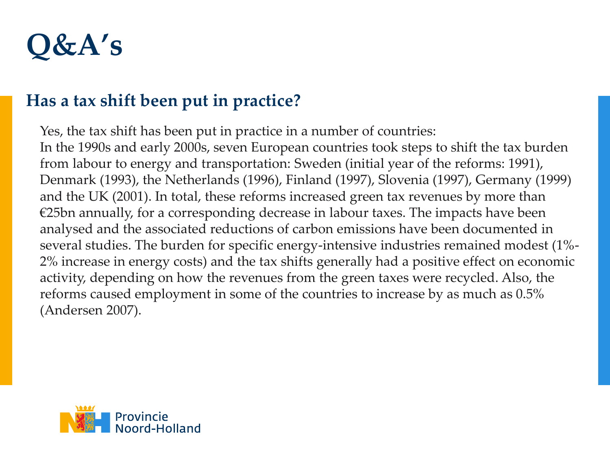

#### **Has a tax shift been put in practice?**

Yes, the tax shift has been put in practice in a number of countries: In the 1990s and early 2000s, seven European countries took steps to shift the tax burden from labour to energy and transportation: Sweden (initial year of the reforms: 1991), Denmark (1993), the Netherlands (1996), Finland (1997), Slovenia (1997), Germany (1999) and the UK (2001). In total, these reforms increased green tax revenues by more than €25bn annually, for a corresponding decrease in labour taxes. The impacts have been analysed and the associated reductions of carbon emissions have been documented in several studies. The burden for specific energy-intensive industries remained modest (1%- 2% increase in energy costs) and the tax shifts generally had a positive effect on economic activity, depending on how the revenues from the green taxes were recycled. Also, the reforms caused employment in some of the countries to increase by as much as 0.5% (Andersen 2007).

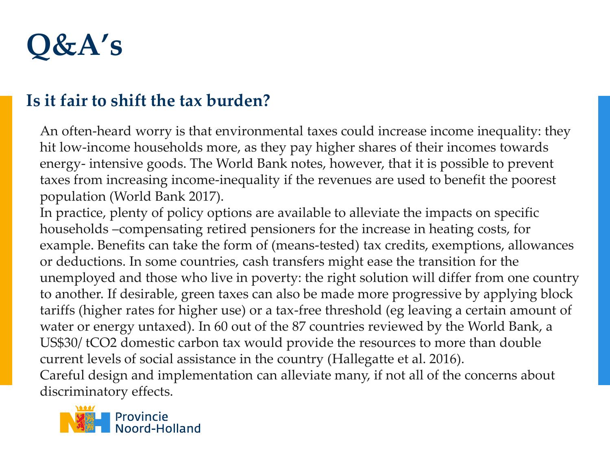

#### **Is it fair to shift the tax burden?**

An often-heard worry is that environmental taxes could increase income inequality: they hit low-income households more, as they pay higher shares of their incomes towards energy- intensive goods. The World Bank notes, however, that it is possible to prevent taxes from increasing income-inequality if the revenues are used to benefit the poorest population (World Bank 2017).

In practice, plenty of policy options are available to alleviate the impacts on specific households –compensating retired pensioners for the increase in heating costs, for example. Benefits can take the form of (means-tested) tax credits, exemptions, allowances or deductions. In some countries, cash transfers might ease the transition for the unemployed and those who live in poverty: the right solution will differ from one country to another. If desirable, green taxes can also be made more progressive by applying block tariffs (higher rates for higher use) or a tax-free threshold (eg leaving a certain amount of water or energy untaxed). In 60 out of the 87 countries reviewed by the World Bank, a US\$30/ tCO2 domestic carbon tax would provide the resources to more than double current levels of social assistance in the country (Hallegatte et al. 2016). Careful design and implementation can alleviate many, if not all of the concerns about discriminatory effects.

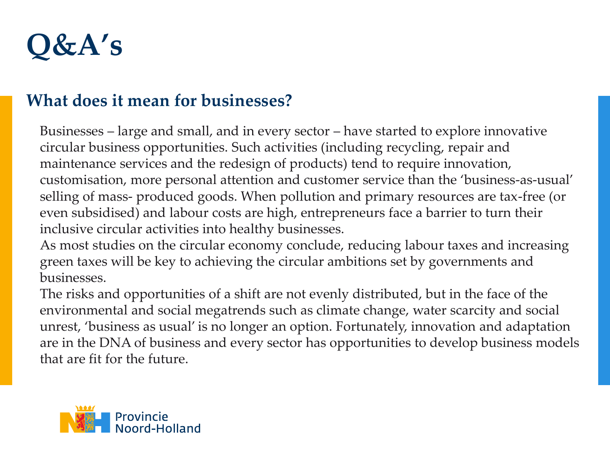

#### **What does it mean for businesses?**

Businesses – large and small, and in every sector – have started to explore innovative circular business opportunities. Such activities (including recycling, repair and maintenance services and the redesign of products) tend to require innovation, customisation, more personal attention and customer service than the 'business-as-usual' selling of mass- produced goods. When pollution and primary resources are tax-free (or even subsidised) and labour costs are high, entrepreneurs face a barrier to turn their inclusive circular activities into healthy businesses.

As most studies on the circular economy conclude, reducing labour taxes and increasing green taxes will be key to achieving the circular ambitions set by governments and businesses.

The risks and opportunities of a shift are not evenly distributed, but in the face of the environmental and social megatrends such as climate change, water scarcity and social unrest, 'business as usual' is no longer an option. Fortunately, innovation and adaptation are in the DNA of business and every sector has opportunities to develop business models that are fit for the future.